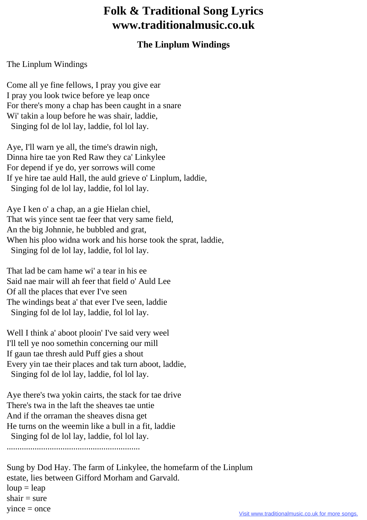## **Folk & Traditional Song Lyrics www.traditionalmusic.co.uk**

## **The Linplum Windings**

## The Linplum Windings

Come all ye fine fellows, I pray you give ear I pray you look twice before ye leap once For there's mony a chap has been caught in a snare Wi' takin a loup before he was shair, laddie, Singing fol de lol lay, laddie, fol lol lay.

Aye, I'll warn ye all, the time's drawin nigh, Dinna hire tae yon Red Raw they ca' Linkylee For depend if ye do, yer sorrows will come If ye hire tae auld Hall, the auld grieve o' Linplum, laddie, Singing fol de lol lay, laddie, fol lol lay.

Aye I ken o' a chap, an a gie Hielan chiel, That wis yince sent tae feer that very same field, An the big Johnnie, he bubbled and grat, When his ploo widna work and his horse took the sprat, laddie, Singing fol de lol lay, laddie, fol lol lay.

That lad be cam hame wi' a tear in his ee Said nae mair will ah feer that field o' Auld Lee Of all the places that ever I've seen The windings beat a' that ever I've seen, laddie Singing fol de lol lay, laddie, fol lol lay.

Well I think a' aboot plooin' I've said very weel I'll tell ye noo somethin concerning our mill If gaun tae thresh auld Puff gies a shout Every yin tae their places and tak turn aboot, laddie, Singing fol de lol lay, laddie, fol lol lay.

Aye there's twa yokin cairts, the stack for tae drive There's twa in the laft the sheaves tae untie And if the orraman the sheaves disna get He turns on the weemin like a bull in a fit, laddie Singing fol de lol lay, laddie, fol lol lay.

..............................................................

Sung by Dod Hay. The farm of Linkylee, the homefarm of the Linplum estate, lies between Gifford Morham and Garvald.  $loup = leap$  $shair = sure$  $yince = once$